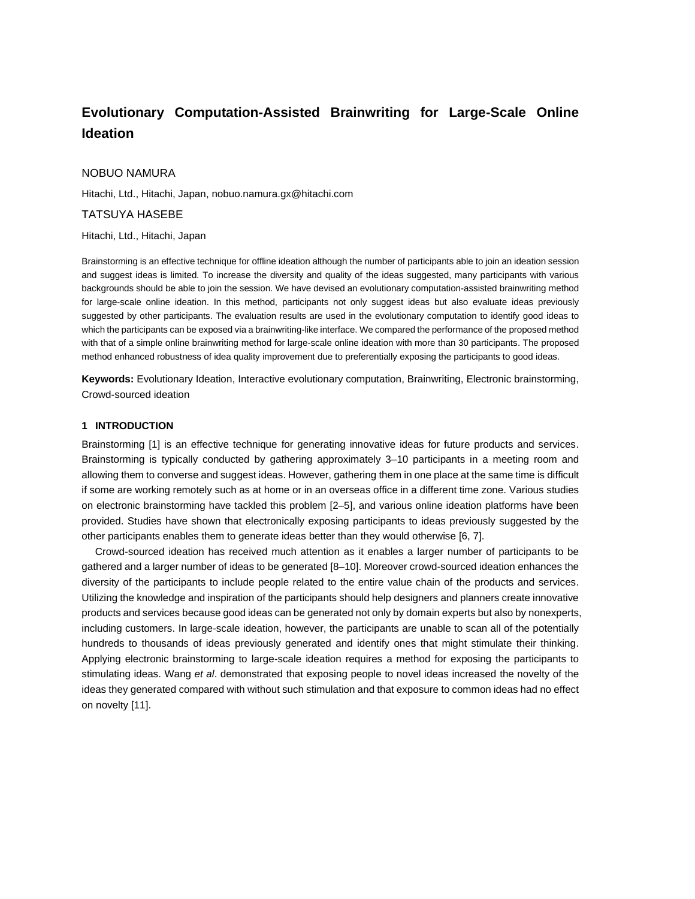# **Evolutionary Computation-Assisted Brainwriting for Large-Scale Online Ideation**

## NOBUO NAMURA

Hitachi, Ltd., Hitachi, Japan, nobuo.namura.gx@hitachi.com

# TATSUYA HASEBE

## Hitachi, Ltd., Hitachi, Japan

Brainstorming is an effective technique for offline ideation although the number of participants able to join an ideation session and suggest ideas is limited. To increase the diversity and quality of the ideas suggested, many participants with various backgrounds should be able to join the session. We have devised an evolutionary computation-assisted brainwriting method for large-scale online ideation. In this method, participants not only suggest ideas but also evaluate ideas previously suggested by other participants. The evaluation results are used in the evolutionary computation to identify good ideas to which the participants can be exposed via a brainwriting-like interface. We compared the performance of the proposed method with that of a simple online brainwriting method for large-scale online ideation with more than 30 participants. The proposed method enhanced robustness of idea quality improvement due to preferentially exposing the participants to good ideas.

**Keywords:** Evolutionary Ideation, Interactive evolutionary computation, Brainwriting, Electronic brainstorming, Crowd-sourced ideation

# **1 INTRODUCTION**

Brainstorming [1] is an effective technique for generating innovative ideas for future products and services. Brainstorming is typically conducted by gathering approximately 3–10 participants in a meeting room and allowing them to converse and suggest ideas. However, gathering them in one place at the same time is difficult if some are working remotely such as at home or in an overseas office in a different time zone. Various studies on electronic brainstorming have tackled this problem [2–5], and various online ideation platforms have been provided. Studies have shown that electronically exposing participants to ideas previously suggested by the other participants enables them to generate ideas better than they would otherwise [6, 7].

Crowd-sourced ideation has received much attention as it enables a larger number of participants to be gathered and a larger number of ideas to be generated [8–10]. Moreover crowd-sourced ideation enhances the diversity of the participants to include people related to the entire value chain of the products and services. Utilizing the knowledge and inspiration of the participants should help designers and planners create innovative products and services because good ideas can be generated not only by domain experts but also by nonexperts, including customers. In large-scale ideation, however, the participants are unable to scan all of the potentially hundreds to thousands of ideas previously generated and identify ones that might stimulate their thinking. Applying electronic brainstorming to large-scale ideation requires a method for exposing the participants to stimulating ideas. Wang *et al*. demonstrated that exposing people to novel ideas increased the novelty of the ideas they generated compared with without such stimulation and that exposure to common ideas had no effect on novelty [11].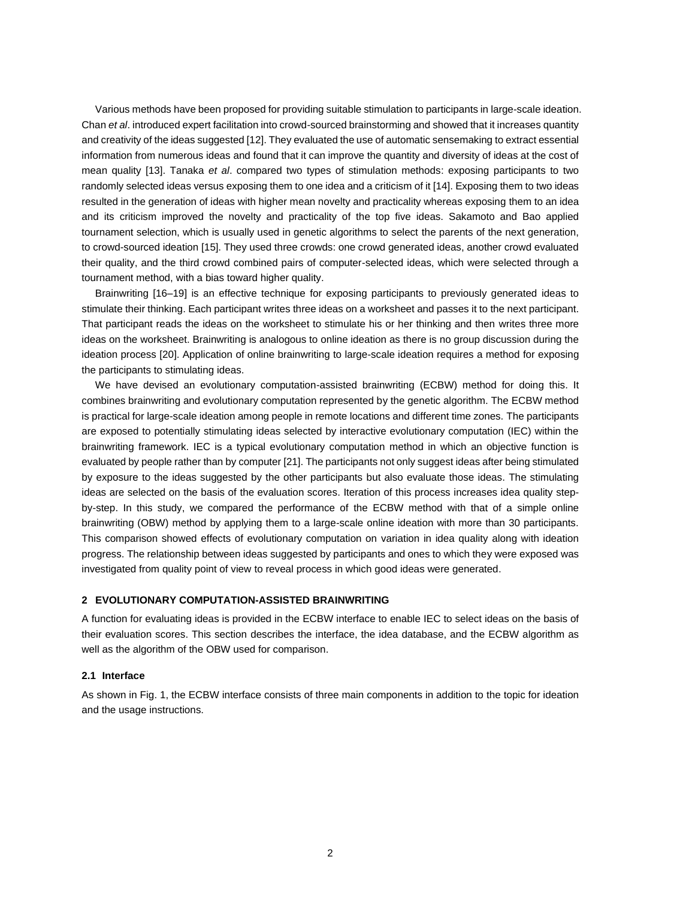Various methods have been proposed for providing suitable stimulation to participants in large-scale ideation. Chan *et al*. introduced expert facilitation into crowd-sourced brainstorming and showed that it increases quantity and creativity of the ideas suggested [12]. They evaluated the use of automatic sensemaking to extract essential information from numerous ideas and found that it can improve the quantity and diversity of ideas at the cost of mean quality [13]. Tanaka *et al*. compared two types of stimulation methods: exposing participants to two randomly selected ideas versus exposing them to one idea and a criticism of it [14]. Exposing them to two ideas resulted in the generation of ideas with higher mean novelty and practicality whereas exposing them to an idea and its criticism improved the novelty and practicality of the top five ideas. Sakamoto and Bao applied tournament selection, which is usually used in genetic algorithms to select the parents of the next generation, to crowd-sourced ideation [15]. They used three crowds: one crowd generated ideas, another crowd evaluated their quality, and the third crowd combined pairs of computer-selected ideas, which were selected through a tournament method, with a bias toward higher quality.

Brainwriting [16–19] is an effective technique for exposing participants to previously generated ideas to stimulate their thinking. Each participant writes three ideas on a worksheet and passes it to the next participant. That participant reads the ideas on the worksheet to stimulate his or her thinking and then writes three more ideas on the worksheet. Brainwriting is analogous to online ideation as there is no group discussion during the ideation process [20]. Application of online brainwriting to large-scale ideation requires a method for exposing the participants to stimulating ideas.

We have devised an evolutionary computation-assisted brainwriting (ECBW) method for doing this. It combines brainwriting and evolutionary computation represented by the genetic algorithm. The ECBW method is practical for large-scale ideation among people in remote locations and different time zones. The participants are exposed to potentially stimulating ideas selected by interactive evolutionary computation (IEC) within the brainwriting framework. IEC is a typical evolutionary computation method in which an objective function is evaluated by people rather than by computer [21]. The participants not only suggest ideas after being stimulated by exposure to the ideas suggested by the other participants but also evaluate those ideas. The stimulating ideas are selected on the basis of the evaluation scores. Iteration of this process increases idea quality stepby-step. In this study, we compared the performance of the ECBW method with that of a simple online brainwriting (OBW) method by applying them to a large-scale online ideation with more than 30 participants. This comparison showed effects of evolutionary computation on variation in idea quality along with ideation progress. The relationship between ideas suggested by participants and ones to which they were exposed was investigated from quality point of view to reveal process in which good ideas were generated.

# **2 EVOLUTIONARY COMPUTATION-ASSISTED BRAINWRITING**

A function for evaluating ideas is provided in the ECBW interface to enable IEC to select ideas on the basis of their evaluation scores. This section describes the interface, the idea database, and the ECBW algorithm as well as the algorithm of the OBW used for comparison.

# **2.1 Interface**

As shown in Fig. 1, the ECBW interface consists of three main components in addition to the topic for ideation and the usage instructions.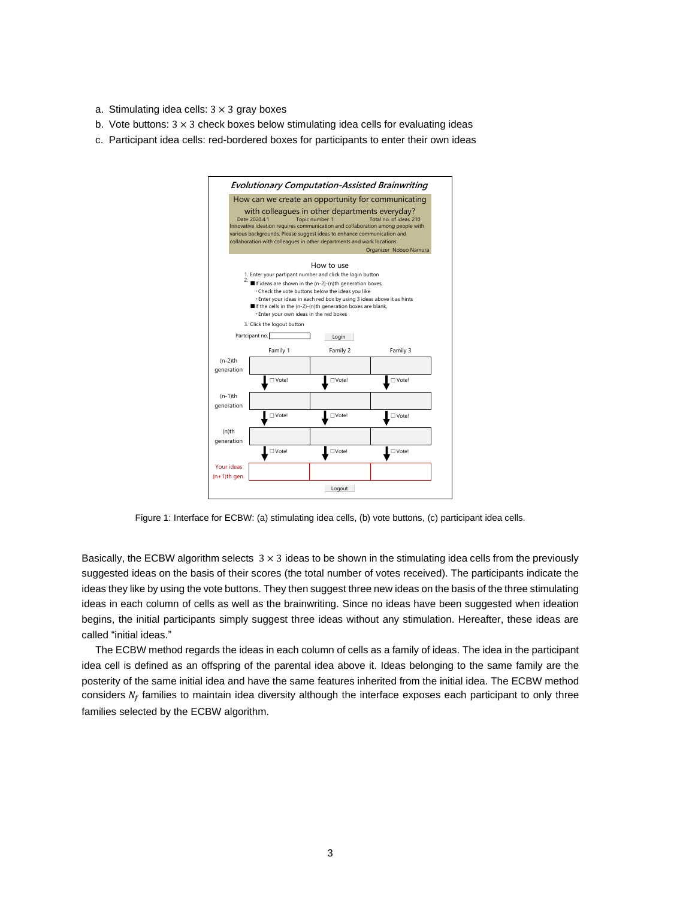- a. Stimulating idea cells:  $3 \times 3$  gray boxes
- b. Vote buttons:  $3 \times 3$  check boxes below stimulating idea cells for evaluating ideas
- c. Participant idea cells: red-bordered boxes for participants to enter their own ideas



Figure 1: Interface for ECBW: (a) stimulating idea cells, (b) vote buttons, (c) participant idea cells.

Basically, the ECBW algorithm selects  $3 \times 3$  ideas to be shown in the stimulating idea cells from the previously suggested ideas on the basis of their scores (the total number of votes received). The participants indicate the ideas they like by using the vote buttons. They then suggest three new ideas on the basis of the three stimulating ideas in each column of cells as well as the brainwriting. Since no ideas have been suggested when ideation begins, the initial participants simply suggest three ideas without any stimulation. Hereafter, these ideas are called "initial ideas."

The ECBW method regards the ideas in each column of cells as a family of ideas. The idea in the participant idea cell is defined as an offspring of the parental idea above it. Ideas belonging to the same family are the posterity of the same initial idea and have the same features inherited from the initial idea. The ECBW method considers  $N_f$  families to maintain idea diversity although the interface exposes each participant to only three families selected by the ECBW algorithm.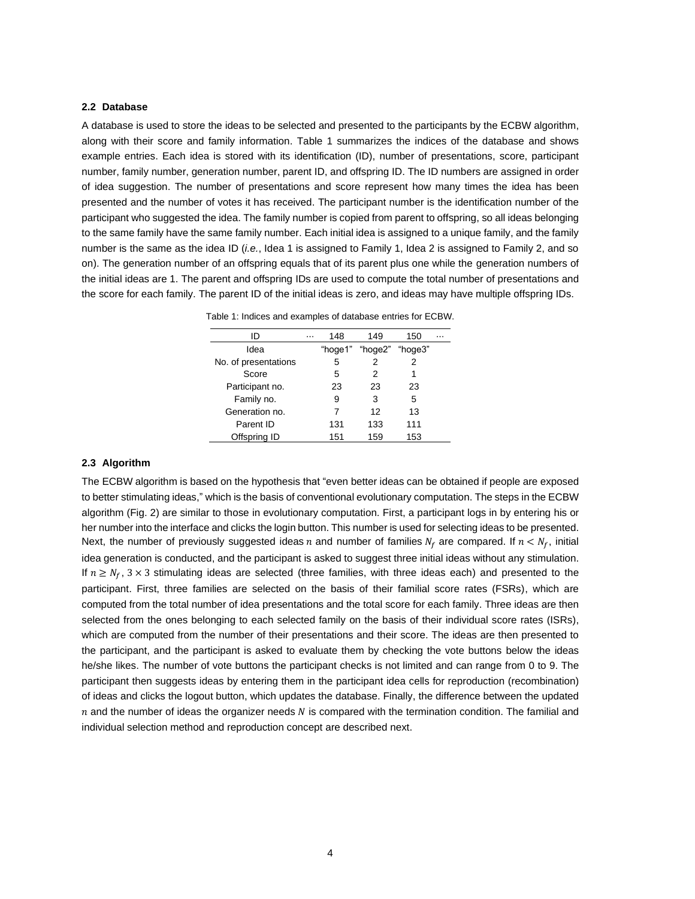# **2.2 Database**

A database is used to store the ideas to be selected and presented to the participants by the ECBW algorithm, along with their score and family information. Table 1 summarizes the indices of the database and shows example entries. Each idea is stored with its identification (ID), number of presentations, score, participant number, family number, generation number, parent ID, and offspring ID. The ID numbers are assigned in order of idea suggestion. The number of presentations and score represent how many times the idea has been presented and the number of votes it has received. The participant number is the identification number of the participant who suggested the idea. The family number is copied from parent to offspring, so all ideas belonging to the same family have the same family number. Each initial idea is assigned to a unique family, and the family number is the same as the idea ID (*i.e.*, Idea 1 is assigned to Family 1, Idea 2 is assigned to Family 2, and so on). The generation number of an offspring equals that of its parent plus one while the generation numbers of the initial ideas are 1. The parent and offspring IDs are used to compute the total number of presentations and the score for each family. The parent ID of the initial ideas is zero, and ideas may have multiple offspring IDs.

Table 1: Indices and examples of database entries for ECBW.

| ID                   | $\cdots$ | 148     | 149            | 150 |  |
|----------------------|----------|---------|----------------|-----|--|
| Idea                 |          | "hoge1" | "hoge2""hoge3" |     |  |
| No. of presentations |          | 5       | 2              | 2   |  |
| Score                |          | 5       | 2              | 1   |  |
| Participant no.      |          | 23      | 23             | 23  |  |
| Family no.           |          | 9       | 3              | 5   |  |
| Generation no.       |          |         | 12             | 13  |  |
| Parent ID            |          | 131     | 133            | 111 |  |
| Offspring ID         |          | 151     | 159            | 153 |  |

# **2.3 Algorithm**

The ECBW algorithm is based on the hypothesis that "even better ideas can be obtained if people are exposed to better stimulating ideas," which is the basis of conventional evolutionary computation. The steps in the ECBW algorithm (Fig. 2) are similar to those in evolutionary computation. First, a participant logs in by entering his or her number into the interface and clicks the login button. This number is used for selecting ideas to be presented. Next, the number of previously suggested ideas n and number of families  $N_f$  are compared. If  $n < N_f$ , initial idea generation is conducted, and the participant is asked to suggest three initial ideas without any stimulation. If  $n \ge N_f$ ,  $3 \times 3$  stimulating ideas are selected (three families, with three ideas each) and presented to the participant. First, three families are selected on the basis of their familial score rates (FSRs), which are computed from the total number of idea presentations and the total score for each family. Three ideas are then selected from the ones belonging to each selected family on the basis of their individual score rates (ISRs), which are computed from the number of their presentations and their score. The ideas are then presented to the participant, and the participant is asked to evaluate them by checking the vote buttons below the ideas he/she likes. The number of vote buttons the participant checks is not limited and can range from 0 to 9. The participant then suggests ideas by entering them in the participant idea cells for reproduction (recombination) of ideas and clicks the logout button, which updates the database. Finally, the difference between the updated  $n$  and the number of ideas the organizer needs  $N$  is compared with the termination condition. The familial and individual selection method and reproduction concept are described next.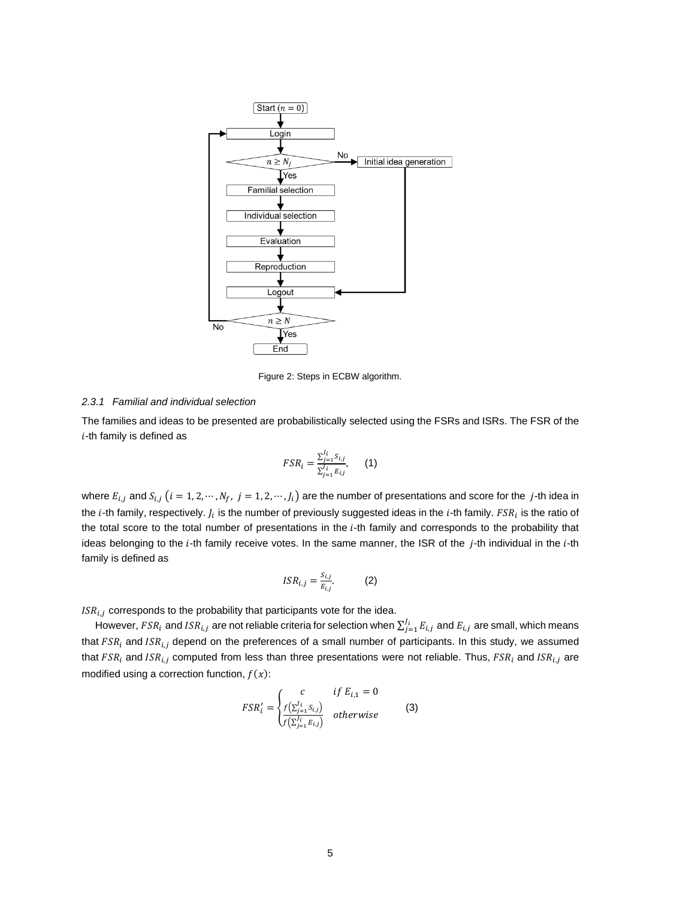

Figure 2: Steps in ECBW algorithm.

#### *2.3.1 Familial and individual selection*

The families and ideas to be presented are probabilistically selected using the FSRs and ISRs. The FSR of the  $i$ -th family is defined as

$$
FSR_i = \frac{\sum_{j=1}^{J_i} S_{i,j}}{\sum_{j=1}^{J_i} E_{i,j}},
$$
 (1)

where  $E_{i,j}$  and  $S_{i,j}$   $(i = 1, 2, \cdots, N_f, j = 1, 2, \cdots, J_i)$  are the number of presentations and score for the j-th idea in the  $i$ -th family, respectively.  $J_i$  is the number of previously suggested ideas in the  $i$ -th family.  $FSR_i$  is the ratio of the total score to the total number of presentations in the  $i$ -th family and corresponds to the probability that ideas belonging to the i-th family receive votes. In the same manner, the ISR of the j-th individual in the i-th family is defined as

$$
ISR_{i,j} = \frac{S_{i,j}}{E_{i,j}}.\tag{2}
$$

 $ISR_{i,j}$  corresponds to the probability that participants vote for the idea.

However,  $FSR_i$  and  $ISR_{i,j}$  are not reliable criteria for selection when  $\sum_{j=1}^{J_i}E_{i,j}$  and  $E_{i,j}$  are small, which means that  $FSR_i$  and  $ISR_{i,j}$  depend on the preferences of a small number of participants. In this study, we assumed that  $FSR_i$  and  $ISR_{i,j}$  computed from less than three presentations were not reliable. Thus,  $FSR_i$  and  $ISR_{i,j}$  are modified using a correction function,  $f(x)$ :

$$
FSR'_{i} = \begin{cases} c & \text{if } E_{i,1} = 0\\ \frac{f(\sum_{j=1}^{j_{i}} S_{i,j})}{f(\sum_{j=1}^{j_{i}} E_{i,j})} & \text{otherwise} \end{cases}
$$
 (3)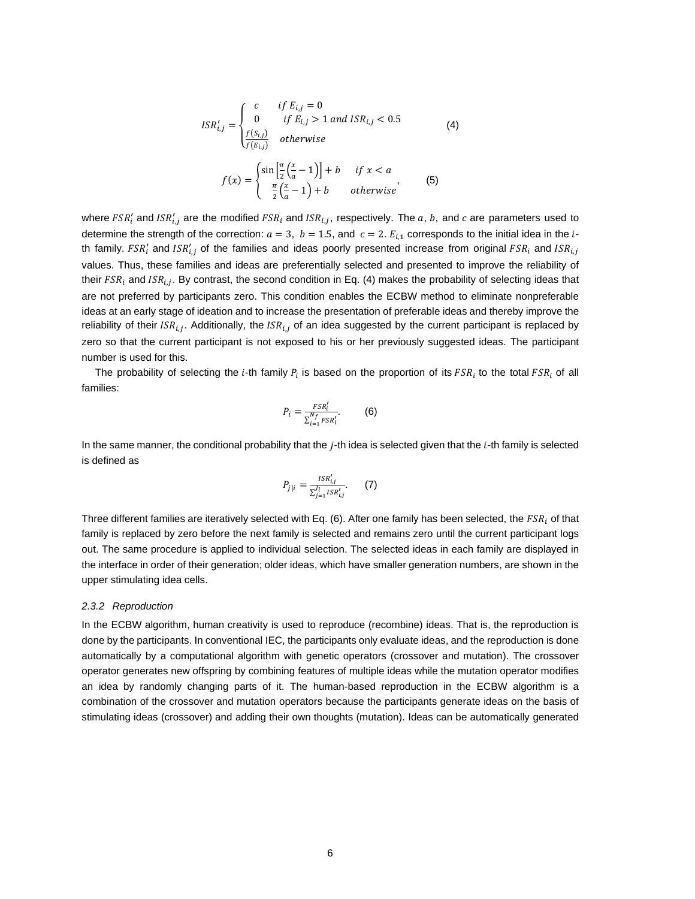$$
ISR'_{i,j} = \begin{cases} c & \text{if } E_{i,j} = 0\\ 0 & \text{if } E_{i,j} > 1 \text{ and } ISR_{i,j} < 0.5\\ \frac{f(S_{i,j})}{f(E_{i,j})} & \text{otherwise} \end{cases} \tag{4}
$$
\n
$$
f(x) = \begin{cases} \sin\left[\frac{\pi}{2}\left(\frac{x}{a} - 1\right)\right] + b & \text{if } x < a\\ \frac{\pi}{2}\left(\frac{x}{a} - 1\right) + b & \text{otherwise} \end{cases} \tag{5}
$$

where  $FSR'_i$  and  $ISR'_{i,j}$  are the modified  $FSR_i$  and  $ISR_{i,j}$ , respectively. The  $a, b$ , and  $c$  are parameters used to determine the strength of the correction:  $a = 3$ ,  $b = 1.5$ , and  $c = 2$ .  $E_{i,1}$  corresponds to the initial idea in the *i*th family.  $FSR'_i$  and  $ISR'_{i,j}$  of the families and ideas poorly presented increase from original  $FSR_i$  and  $ISR_{i,j}$ values. Thus, these families and ideas are preferentially selected and presented to improve the reliability of their  $FSR_i$  and  $ISR_{i,j}$ . By contrast, the second condition in Eq. (4) makes the probability of selecting ideas that are not preferred by participants zero. This condition enables the ECBW method to eliminate nonpreferable ideas at an early stage of ideation and to increase the presentation of preferable ideas and thereby improve the reliability of their ISR<sub>i.J</sub>. Additionally, the ISR<sub>i.J</sub> of an idea suggested by the current participant is replaced by zero so that the current participant is not exposed to his or her previously suggested ideas. The participant number is used for this.

The probability of selecting the *i*-th family  $P_i$  is based on the proportion of its  $FSR_i$  to the total  $FSR_i$  of all families:

$$
P_i = \frac{FSR_i'}{\sum_{i=1}^{N_f} FSR_i'}.
$$
 (6)

In the same manner, the conditional probability that the *j*-th idea is selected given that the *i*-th family is selected is defined as

$$
P_{j|i} = \frac{ISR'_{i,j}}{\sum_{j=1}^{J_i} ISR'_{i,j}}.
$$
 (7)

Three different families are iteratively selected with Eq. (6). After one family has been selected, the  $FSR_i$  of that family is replaced by zero before the next family is selected and remains zero until the current participant logs out. The same procedure is applied to individual selection. The selected ideas in each family are displayed in the interface in order of their generation; older ideas, which have smaller generation numbers, are shown in the upper stimulating idea cells.

#### *2.3.2 Reproduction*

In the ECBW algorithm, human creativity is used to reproduce (recombine) ideas. That is, the reproduction is done by the participants. In conventional IEC, the participants only evaluate ideas, and the reproduction is done automatically by a computational algorithm with genetic operators (crossover and mutation). The crossover operator generates new offspring by combining features of multiple ideas while the mutation operator modifies an idea by randomly changing parts of it. The human-based reproduction in the ECBW algorithm is a combination of the crossover and mutation operators because the participants generate ideas on the basis of stimulating ideas (crossover) and adding their own thoughts (mutation). Ideas can be automatically generated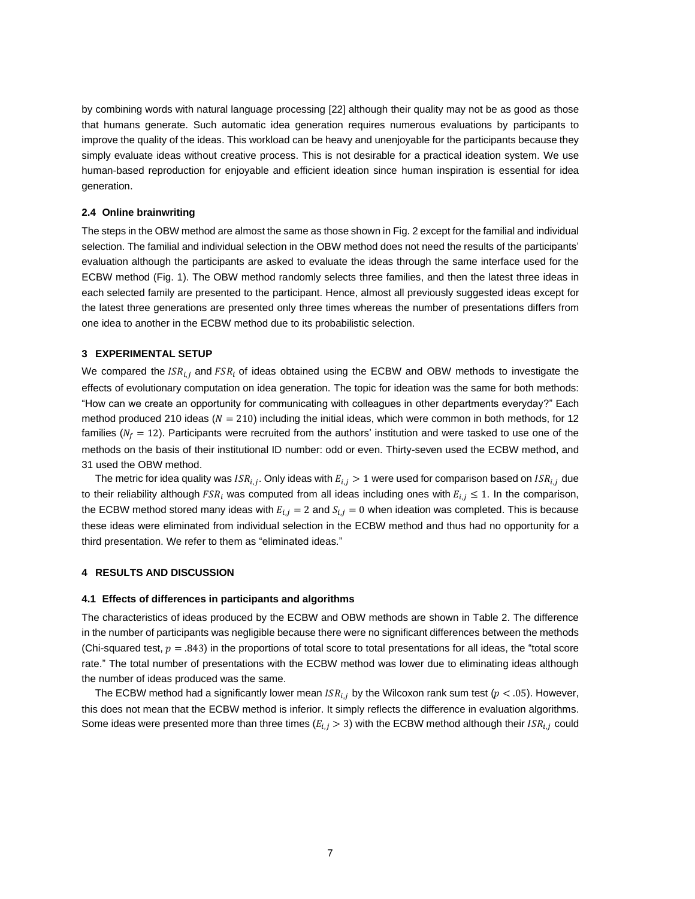by combining words with natural language processing [22] although their quality may not be as good as those that humans generate. Such automatic idea generation requires numerous evaluations by participants to improve the quality of the ideas. This workload can be heavy and unenjoyable for the participants because they simply evaluate ideas without creative process. This is not desirable for a practical ideation system. We use human-based reproduction for enjoyable and efficient ideation since human inspiration is essential for idea generation.

# **2.4 Online brainwriting**

The steps in the OBW method are almost the same as those shown in Fig. 2 except for the familial and individual selection. The familial and individual selection in the OBW method does not need the results of the participants' evaluation although the participants are asked to evaluate the ideas through the same interface used for the ECBW method (Fig. 1). The OBW method randomly selects three families, and then the latest three ideas in each selected family are presented to the participant. Hence, almost all previously suggested ideas except for the latest three generations are presented only three times whereas the number of presentations differs from one idea to another in the ECBW method due to its probabilistic selection.

# **3 EXPERIMENTAL SETUP**

We compared the  $ISR_{i,j}$  and  $FSR_i$  of ideas obtained using the ECBW and OBW methods to investigate the effects of evolutionary computation on idea generation. The topic for ideation was the same for both methods: "How can we create an opportunity for communicating with colleagues in other departments everyday?" Each method produced 210 ideas ( $N = 210$ ) including the initial ideas, which were common in both methods, for 12 families ( $N_f = 12$ ). Participants were recruited from the authors' institution and were tasked to use one of the methods on the basis of their institutional ID number: odd or even. Thirty-seven used the ECBW method, and 31 used the OBW method.

The metric for idea quality was  $\mathit{ISR}_{i,j}.$  Only ideas with  $E_{i,j} > 1$  were used for comparison based on  $\mathit{ISR}_{i,j}$  due to their reliability although  $FSR_i$  was computed from all ideas including ones with  $E_{i,j} \leq 1$ . In the comparison, the ECBW method stored many ideas with  $E_{i,j} = 2$  and  $S_{i,j} = 0$  when ideation was completed. This is because these ideas were eliminated from individual selection in the ECBW method and thus had no opportunity for a third presentation. We refer to them as "eliminated ideas."

## **4 RESULTS AND DISCUSSION**

## **4.1 Effects of differences in participants and algorithms**

The characteristics of ideas produced by the ECBW and OBW methods are shown in Table 2. The difference in the number of participants was negligible because there were no significant differences between the methods (Chi-squared test,  $p = .843$ ) in the proportions of total score to total presentations for all ideas, the "total score rate." The total number of presentations with the ECBW method was lower due to eliminating ideas although the number of ideas produced was the same.

The ECBW method had a significantly lower mean  $ISR_{i,j}$  by the Wilcoxon rank sum test ( $p < .05$ ). However, this does not mean that the ECBW method is inferior. It simply reflects the difference in evaluation algorithms. Some ideas were presented more than three times ( $E_{i,j} > 3$ ) with the ECBW method although their  $ISR_{i,j}$  could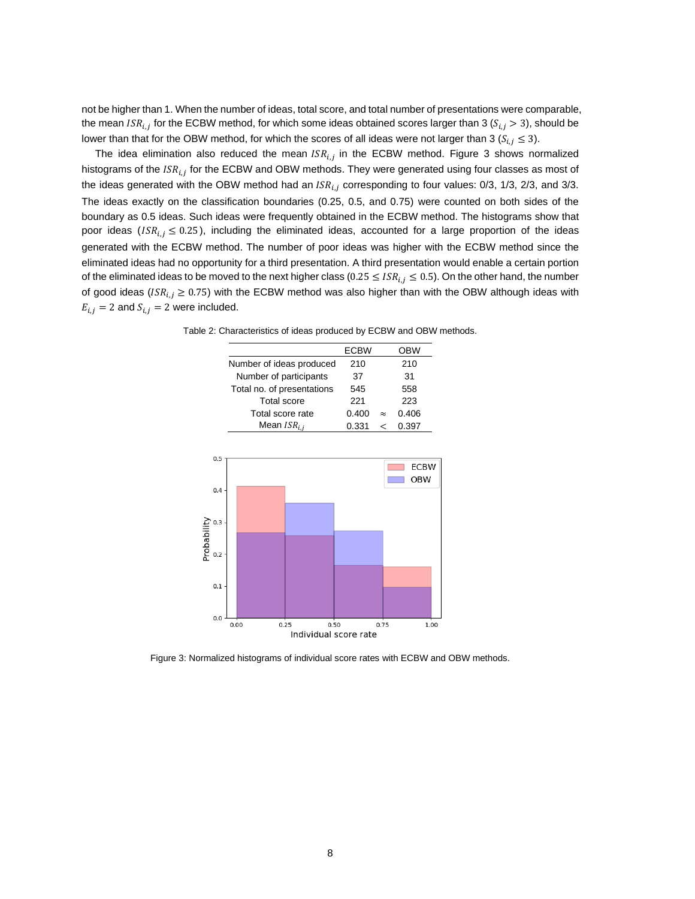not be higher than 1. When the number of ideas, total score, and total number of presentations were comparable, the mean  $\it{ISR}_{i,j}$  for the ECBW method, for which some ideas obtained scores larger than 3 ( $\it{S}_{i,j}>3$ ), should be lower than that for the OBW method, for which the scores of all ideas were not larger than 3 ( $S_{i,j} \leq 3$ ).

The idea elimination also reduced the mean  $ISR_{i,j}$  in the ECBW method. Figure 3 shows normalized histograms of the  $\mathit{ISR}_{i,j}$  for the ECBW and OBW methods. They were generated using four classes as most of the ideas generated with the OBW method had an  $ISR_{i,j}$  corresponding to four values: 0/3, 1/3, 2/3, and 3/3. The ideas exactly on the classification boundaries (0.25, 0.5, and 0.75) were counted on both sides of the boundary as 0.5 ideas. Such ideas were frequently obtained in the ECBW method. The histograms show that poor ideas ( $ISR_{i,j} \leq 0.25$ ), including the eliminated ideas, accounted for a large proportion of the ideas generated with the ECBW method. The number of poor ideas was higher with the ECBW method since the eliminated ideas had no opportunity for a third presentation. A third presentation would enable a certain portion of the eliminated ideas to be moved to the next higher class (0.25  $\leq$  ISR<sub>ij</sub>  $\leq$  0.5). On the other hand, the number of good ideas ( $ISR_{i,j} \geq 0.75$ ) with the ECBW method was also higher than with the OBW although ideas with  $E_{i,j} = 2$  and  $S_{i,j} = 2$  were included.

Table 2: Characteristics of ideas produced by ECBW and OBW methods.



Figure 3: Normalized histograms of individual score rates with ECBW and OBW methods.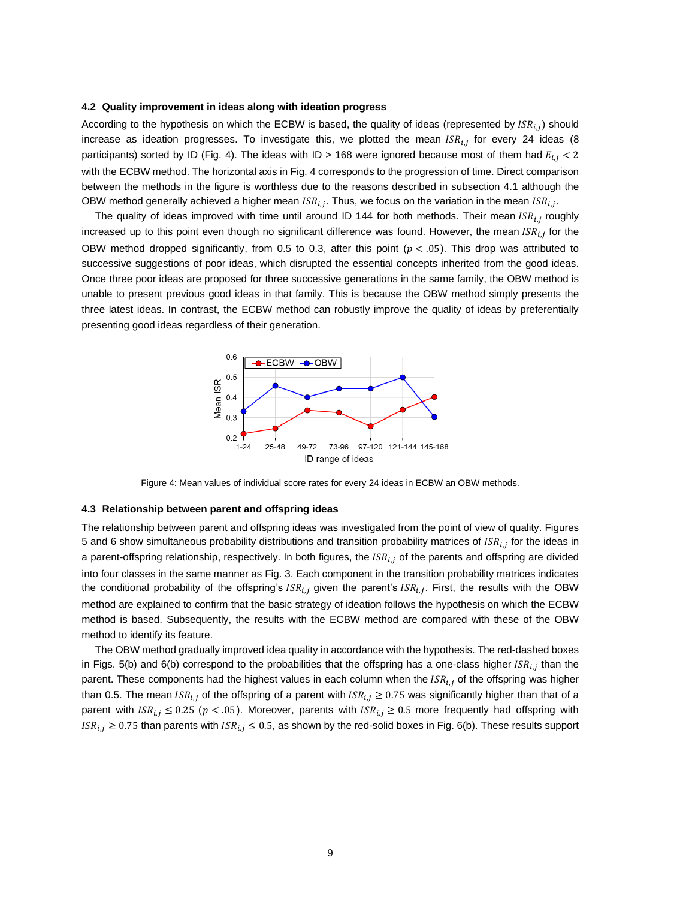#### **4.2 Quality improvement in ideas along with ideation progress**

According to the hypothesis on which the ECBW is based, the quality of ideas (represented by  $\textit{ISR}_{i,j}$ ) should increase as ideation progresses. To investigate this, we plotted the mean  $\mathit{ISR}_{i,j}$  for every 24 ideas (8 participants) sorted by ID (Fig. 4). The ideas with ID > 168 were ignored because most of them had  $E_{i,i}$  < 2 with the ECBW method. The horizontal axis in Fig. 4 corresponds to the progression of time. Direct comparison between the methods in the figure is worthless due to the reasons described in subsection 4.1 although the OBW method generally achieved a higher mean  $\textit{ISR}_{i,j}$ . Thus, we focus on the variation in the mean  $\textit{ISR}_{i,j}$ .

The quality of ideas improved with time until around ID 144 for both methods. Their mean  $\textit{ISR}_{i,j}$  roughly increased up to this point even though no significant difference was found. However, the mean  $\textit{ISR}_{i,j}$  for the OBW method dropped significantly, from 0.5 to 0.3, after this point ( $p < .05$ ). This drop was attributed to successive suggestions of poor ideas, which disrupted the essential concepts inherited from the good ideas. Once three poor ideas are proposed for three successive generations in the same family, the OBW method is unable to present previous good ideas in that family. This is because the OBW method simply presents the three latest ideas. In contrast, the ECBW method can robustly improve the quality of ideas by preferentially presenting good ideas regardless of their generation.



Figure 4: Mean values of individual score rates for every 24 ideas in ECBW an OBW methods.

#### **4.3 Relationship between parent and offspring ideas**

The relationship between parent and offspring ideas was investigated from the point of view of quality. Figures 5 and 6 show simultaneous probability distributions and transition probability matrices of *ISR<sub>ij</sub>* for the ideas in a parent-offspring relationship, respectively. In both figures, the  $ISR_{i,i}$  of the parents and offspring are divided into four classes in the same manner as Fig. 3. Each component in the transition probability matrices indicates the conditional probability of the offspring's  $ISR_{i,j}$  given the parent's  $ISR_{i,j}$ . First, the results with the OBW method are explained to confirm that the basic strategy of ideation follows the hypothesis on which the ECBW method is based. Subsequently, the results with the ECBW method are compared with these of the OBW method to identify its feature.

The OBW method gradually improved idea quality in accordance with the hypothesis. The red-dashed boxes in Figs. 5(b) and 6(b) correspond to the probabilities that the offspring has a one-class higher  $ISR_{i,j}$  than the parent. These components had the highest values in each column when the  $ISR_{i,j}$  of the offspring was higher than 0.5. The mean  $ISR_{i,j}$  of the offspring of a parent with  $ISR_{i,j} \ge 0.75$  was significantly higher than that of a parent with  $ISR_{i,j} \leq 0.25$  ( $p < .05$ ). Moreover, parents with  $ISR_{i,j} \geq 0.5$  more frequently had offspring with  $ISR_{i,j} \geq 0.75$  than parents with  $ISR_{i,j} \leq 0.5$ , as shown by the red-solid boxes in Fig. 6(b). These results support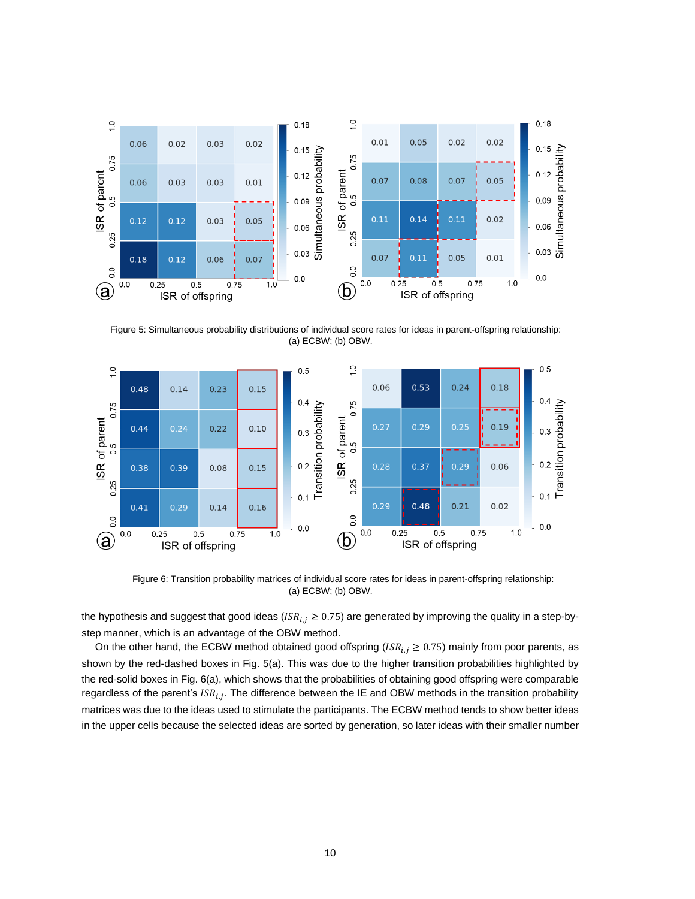

 Figure 5: Simultaneous probability distributions of individual score rates for ideas in parent-offspring relationship: (a) ECBW; (b) OBW.



 Figure 6: Transition probability matrices of individual score rates for ideas in parent-offspring relationship: (a) ECBW; (b) OBW.

the hypothesis and suggest that good ideas ( $ISR_{i,j} \geq 0.75$ ) are generated by improving the quality in a step-bystep manner, which is an advantage of the OBW method.

On the other hand, the ECBW method obtained good offspring ( $ISR_{i,j} \geq 0.75$ ) mainly from poor parents, as shown by the red-dashed boxes in Fig. 5(a). This was due to the higher transition probabilities highlighted by the red-solid boxes in Fig. 6(a), which shows that the probabilities of obtaining good offspring were comparable regardless of the parent's *ISR<sub>i.j</sub>*. The difference between the IE and OBW methods in the transition probability matrices was due to the ideas used to stimulate the participants. The ECBW method tends to show better ideas in the upper cells because the selected ideas are sorted by generation, so later ideas with their smaller number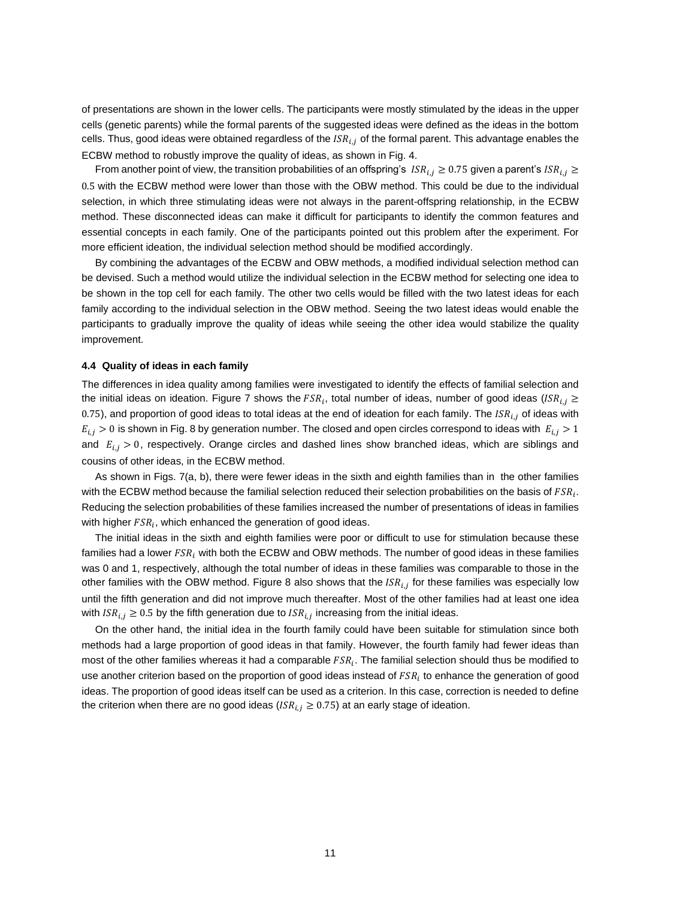of presentations are shown in the lower cells. The participants were mostly stimulated by the ideas in the upper cells (genetic parents) while the formal parents of the suggested ideas were defined as the ideas in the bottom cells. Thus, good ideas were obtained regardless of the  $ISR_{i,j}$  of the formal parent. This advantage enables the ECBW method to robustly improve the quality of ideas, as shown in Fig. 4.

From another point of view, the transition probabilities of an offspring's  $ISR_{i,j} \geq 0.75$  given a parent's  $ISR_{i,j} \geq$ 0.5 with the ECBW method were lower than those with the OBW method. This could be due to the individual selection, in which three stimulating ideas were not always in the parent-offspring relationship, in the ECBW method. These disconnected ideas can make it difficult for participants to identify the common features and essential concepts in each family. One of the participants pointed out this problem after the experiment. For more efficient ideation, the individual selection method should be modified accordingly.

By combining the advantages of the ECBW and OBW methods, a modified individual selection method can be devised. Such a method would utilize the individual selection in the ECBW method for selecting one idea to be shown in the top cell for each family. The other two cells would be filled with the two latest ideas for each family according to the individual selection in the OBW method. Seeing the two latest ideas would enable the participants to gradually improve the quality of ideas while seeing the other idea would stabilize the quality improvement.

## **4.4 Quality of ideas in each family**

The differences in idea quality among families were investigated to identify the effects of familial selection and the initial ideas on ideation. Figure 7 shows the  $FSR_i$ , total number of ideas, number of good ideas (IS $R_{i,j}\geq$ 0.75), and proportion of good ideas to total ideas at the end of ideation for each family. The  $ISR_{i,j}$  of ideas with  $E_{i,j} > 0$  is shown in Fig. 8 by generation number. The closed and open circles correspond to ideas with  $E_{i,j} > 1$ and  $E_{i,j} > 0$ , respectively. Orange circles and dashed lines show branched ideas, which are siblings and cousins of other ideas, in the ECBW method.

As shown in Figs. 7(a, b), there were fewer ideas in the sixth and eighth families than in the other families with the ECBW method because the familial selection reduced their selection probabilities on the basis of  $FSR_i$ . Reducing the selection probabilities of these families increased the number of presentations of ideas in families with higher  $\mathit{FSR}_i$ , which enhanced the generation of good ideas.

The initial ideas in the sixth and eighth families were poor or difficult to use for stimulation because these families had a lower  $FSR_i$  with both the ECBW and OBW methods. The number of good ideas in these families was 0 and 1, respectively, although the total number of ideas in these families was comparable to those in the other families with the OBW method. Figure 8 also shows that the  $\mathit{ISR}_{i,j}$  for these families was especially low until the fifth generation and did not improve much thereafter. Most of the other families had at least one idea with  $\textit{ISR}_{i,j} \geq 0.5$  by the fifth generation due to  $\textit{ISR}_{i,j}$  increasing from the initial ideas.

On the other hand, the initial idea in the fourth family could have been suitable for stimulation since both methods had a large proportion of good ideas in that family. However, the fourth family had fewer ideas than most of the other families whereas it had a comparable  $FSR_i$ . The familial selection should thus be modified to use another criterion based on the proportion of good ideas instead of  $FSR_i$  to enhance the generation of good ideas. The proportion of good ideas itself can be used as a criterion. In this case, correction is needed to define the criterion when there are no good ideas ( $ISR_{i,j} \geq 0.75$ ) at an early stage of ideation.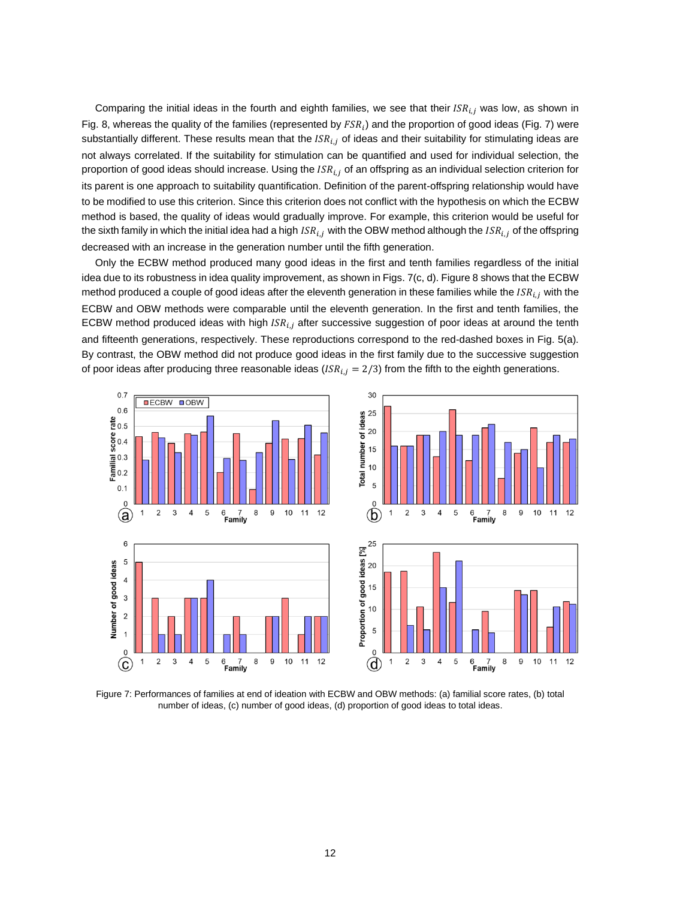Comparing the initial ideas in the fourth and eighth families, we see that their  $ISR_{i,j}$  was low, as shown in Fig. 8, whereas the quality of the families (represented by  $FSR_i$ ) and the proportion of good ideas (Fig. 7) were substantially different. These results mean that the  $ISR_{i,j}$  of ideas and their suitability for stimulating ideas are not always correlated. If the suitability for stimulation can be quantified and used for individual selection, the proportion of good ideas should increase. Using the  $ISR_{i,j}$  of an offspring as an individual selection criterion for its parent is one approach to suitability quantification. Definition of the parent-offspring relationship would have to be modified to use this criterion. Since this criterion does not conflict with the hypothesis on which the ECBW method is based, the quality of ideas would gradually improve. For example, this criterion would be useful for the sixth family in which the initial idea had a high  $ISR_{i,j}$  with the OBW method although the  $ISR_{i,j}$  of the offspring decreased with an increase in the generation number until the fifth generation.

Only the ECBW method produced many good ideas in the first and tenth families regardless of the initial idea due to its robustness in idea quality improvement, as shown in Figs. 7(c, d). Figure 8 shows that the ECBW method produced a couple of good ideas after the eleventh generation in these families while the  $ISR_{i,j}$  with the ECBW and OBW methods were comparable until the eleventh generation. In the first and tenth families, the ECBW method produced ideas with high  $ISR_{i,j}$  after successive suggestion of poor ideas at around the tenth and fifteenth generations, respectively. These reproductions correspond to the red-dashed boxes in Fig. 5(a). By contrast, the OBW method did not produce good ideas in the first family due to the successive suggestion of poor ideas after producing three reasonable ideas  $(ISR_{i,j} = 2/3)$  from the fifth to the eighth generations.



Figure 7: Performances of families at end of ideation with ECBW and OBW methods: (a) familial score rates, (b) total number of ideas, (c) number of good ideas, (d) proportion of good ideas to total ideas.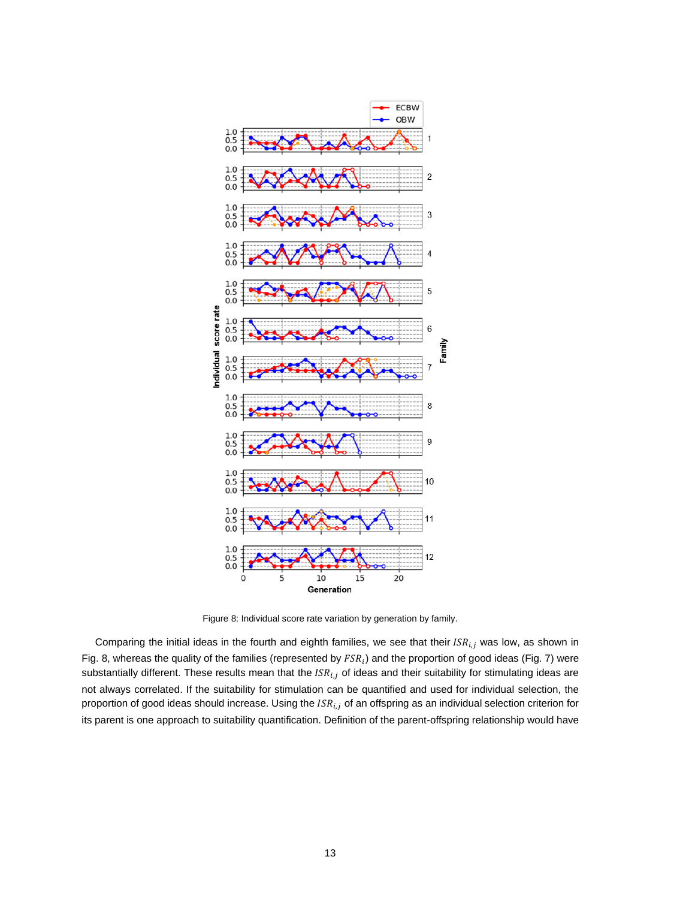

Figure 8: Individual score rate variation by generation by family.

Comparing the initial ideas in the fourth and eighth families, we see that their  $ISR_{i,j}$  was low, as shown in Fig. 8, whereas the quality of the families (represented by  $FSR_i$ ) and the proportion of good ideas (Fig. 7) were substantially different. These results mean that the  $ISR_{i,j}$  of ideas and their suitability for stimulating ideas are not always correlated. If the suitability for stimulation can be quantified and used for individual selection, the proportion of good ideas should increase. Using the  $ISR_{i,j}$  of an offspring as an individual selection criterion for its parent is one approach to suitability quantification. Definition of the parent-offspring relationship would have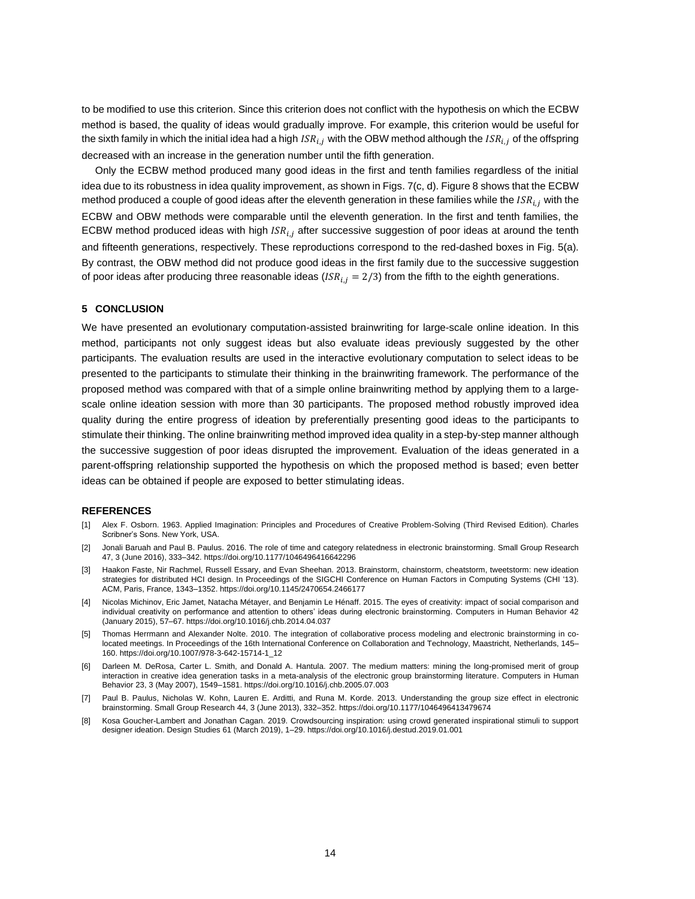to be modified to use this criterion. Since this criterion does not conflict with the hypothesis on which the ECBW method is based, the quality of ideas would gradually improve. For example, this criterion would be useful for the sixth family in which the initial idea had a high  $ISR_{i,j}$  with the OBW method although the  $ISR_{i,j}$  of the offspring decreased with an increase in the generation number until the fifth generation.

Only the ECBW method produced many good ideas in the first and tenth families regardless of the initial idea due to its robustness in idea quality improvement, as shown in Figs. 7(c, d). Figure 8 shows that the ECBW method produced a couple of good ideas after the eleventh generation in these families while the  $ISR_{i,i}$  with the ECBW and OBW methods were comparable until the eleventh generation. In the first and tenth families, the ECBW method produced ideas with high  $ISR_{i,j}$  after successive suggestion of poor ideas at around the tenth and fifteenth generations, respectively. These reproductions correspond to the red-dashed boxes in Fig. 5(a). By contrast, the OBW method did not produce good ideas in the first family due to the successive suggestion of poor ideas after producing three reasonable ideas  $(ISR_{i,j} = 2/3)$  from the fifth to the eighth generations.

## **5 CONCLUSION**

We have presented an evolutionary computation-assisted brainwriting for large-scale online ideation. In this method, participants not only suggest ideas but also evaluate ideas previously suggested by the other participants. The evaluation results are used in the interactive evolutionary computation to select ideas to be presented to the participants to stimulate their thinking in the brainwriting framework. The performance of the proposed method was compared with that of a simple online brainwriting method by applying them to a largescale online ideation session with more than 30 participants. The proposed method robustly improved idea quality during the entire progress of ideation by preferentially presenting good ideas to the participants to stimulate their thinking. The online brainwriting method improved idea quality in a step-by-step manner although the successive suggestion of poor ideas disrupted the improvement. Evaluation of the ideas generated in a parent-offspring relationship supported the hypothesis on which the proposed method is based; even better ideas can be obtained if people are exposed to better stimulating ideas.

# **REFERENCES**

- [1] Alex F. Osborn. 1963. Applied Imagination: Principles and Procedures of Creative Problem-Solving (Third Revised Edition). Charles Scribner's Sons. New York, USA.
- [2] Jonali Baruah and Paul B. Paulus. 2016. The role of time and category relatedness in electronic brainstorming. Small Group Research 47, 3 (June 2016), 333–342. https://doi.org/10.1177/1046496416642296
- [3] Haakon Faste, Nir Rachmel, Russell Essary, and Evan Sheehan. 2013. Brainstorm, chainstorm, cheatstorm, tweetstorm: new ideation strategies for distributed HCI design. In Proceedings of the SIGCHI Conference on Human Factors in Computing Systems (CHI '13). ACM, Paris, France, 1343–1352. https://doi.org/10.1145/2470654.2466177
- [4] Nicolas Michinov, Eric Jamet, Natacha Métayer, and Benjamin Le Hénaff. 2015. The eyes of creativity: impact of social comparison and individual creativity on performance and attention to others' ideas during electronic brainstorming. Computers in Human Behavior 42 (January 2015), 57–67. https://doi.org/10.1016/j.chb.2014.04.037
- [5] Thomas Herrmann and Alexander Nolte. 2010. The integration of collaborative process modeling and electronic brainstorming in colocated meetings. In Proceedings of the 16th International Conference on Collaboration and Technology, Maastricht, Netherlands, 145– 160. https://doi.org/10.1007/978-3-642-15714-1\_12
- [6] Darleen M. DeRosa, Carter L. Smith, and Donald A. Hantula. 2007. The medium matters: mining the long-promised merit of group interaction in creative idea generation tasks in a meta-analysis of the electronic group brainstorming literature. Computers in Human Behavior 23, 3 (May 2007), 1549–1581. https://doi.org/10.1016/j.chb.2005.07.003
- [7] Paul B. Paulus, Nicholas W. Kohn, Lauren E. Arditti, and Runa M. Korde. 2013. Understanding the group size effect in electronic brainstorming. Small Group Research 44, 3 (June 2013), 332–352. https://doi.org/10.1177/1046496413479674
- [8] Kosa Goucher-Lambert and Jonathan Cagan. 2019. Crowdsourcing inspiration: using crowd generated inspirational stimuli to support designer ideation. Design Studies 61 (March 2019), 1–29. https://doi.org/10.1016/j.destud.2019.01.001